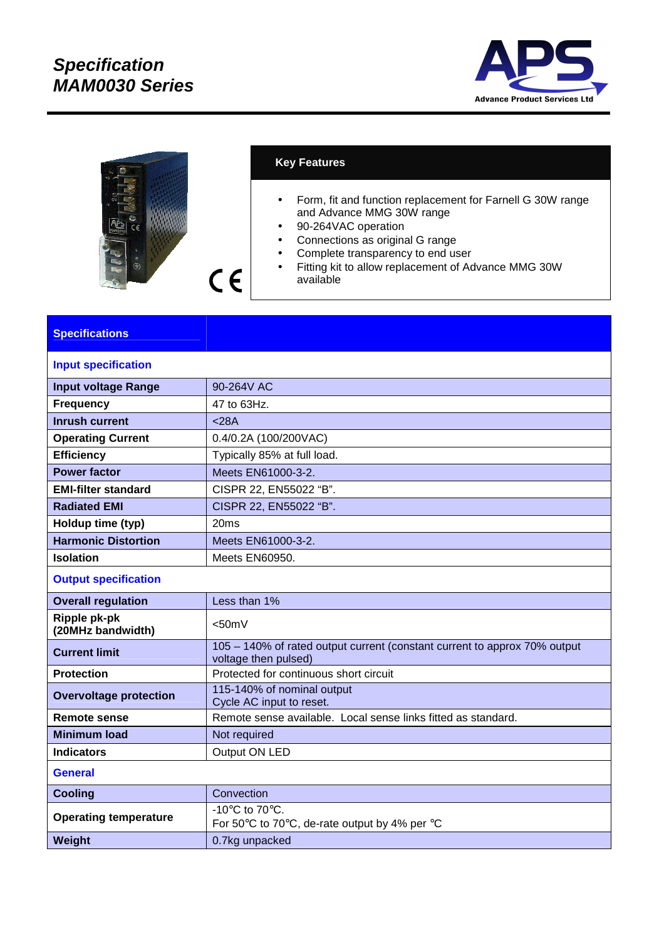

| $\circlede$<br>CE                 | <b>Key Features</b>                                                                                                                                                                                                                                                     |
|-----------------------------------|-------------------------------------------------------------------------------------------------------------------------------------------------------------------------------------------------------------------------------------------------------------------------|
|                                   | Form, fit and function replacement for Farnell G 30W range<br>$\bullet$<br>and Advance MMG 30W range<br>90-264VAC operation<br>Connections as original G range<br>Complete transparency to end user<br>Fitting kit to allow replacement of Advance MMG 30W<br>available |
| <b>Specifications</b>             |                                                                                                                                                                                                                                                                         |
| <b>Input specification</b>        |                                                                                                                                                                                                                                                                         |
| <b>Input voltage Range</b>        | 90-264V AC                                                                                                                                                                                                                                                              |
| <b>Frequency</b>                  | 47 to 63Hz.                                                                                                                                                                                                                                                             |
| <b>Inrush current</b>             | < 28A                                                                                                                                                                                                                                                                   |
| <b>Operating Current</b>          | 0.4/0.2A (100/200VAC)                                                                                                                                                                                                                                                   |
| <b>Efficiency</b>                 | Typically 85% at full load.                                                                                                                                                                                                                                             |
| <b>Power factor</b>               | Meets EN61000-3-2.                                                                                                                                                                                                                                                      |
| <b>EMI-filter standard</b>        | CISPR 22, EN55022 "B".                                                                                                                                                                                                                                                  |
| <b>Radiated EMI</b>               | CISPR 22, EN55022 "B".                                                                                                                                                                                                                                                  |
| Holdup time (typ)                 | 20 <sub>ms</sub>                                                                                                                                                                                                                                                        |
| <b>Harmonic Distortion</b>        | Meets EN61000-3-2.                                                                                                                                                                                                                                                      |
| <b>Isolation</b>                  | Meets EN60950.                                                                                                                                                                                                                                                          |
| <b>Output specification</b>       |                                                                                                                                                                                                                                                                         |
| <b>Overall regulation</b>         | Less than 1%                                                                                                                                                                                                                                                            |
| Ripple pk-pk<br>(20MHz bandwidth) | $<$ 50m $V$                                                                                                                                                                                                                                                             |
| <b>Current limit</b>              | 105 - 140% of rated output current (constant current to approx 70% output<br>voltage then pulsed)                                                                                                                                                                       |
| <b>Protection</b>                 | Protected for continuous short circuit                                                                                                                                                                                                                                  |
| <b>Overvoltage protection</b>     | 115-140% of nominal output<br>Cycle AC input to reset.                                                                                                                                                                                                                  |
| <b>Remote sense</b>               | Remote sense available. Local sense links fitted as standard.                                                                                                                                                                                                           |
| <b>Minimum load</b>               | Not required                                                                                                                                                                                                                                                            |
| <b>Indicators</b>                 | Output ON LED                                                                                                                                                                                                                                                           |
| <b>General</b>                    |                                                                                                                                                                                                                                                                         |
| <b>Cooling</b>                    | Convection                                                                                                                                                                                                                                                              |
| <b>Operating temperature</b>      | -10 $\mathrm{^{\circ}C}$ to 70 $\mathrm{^{\circ}C}$ .<br>For 50 $\degree$ C to 70 $\degree$ C, de-rate output by 4% per $\degree$ C                                                                                                                                     |
| Weight                            | 0.7kg unpacked                                                                                                                                                                                                                                                          |